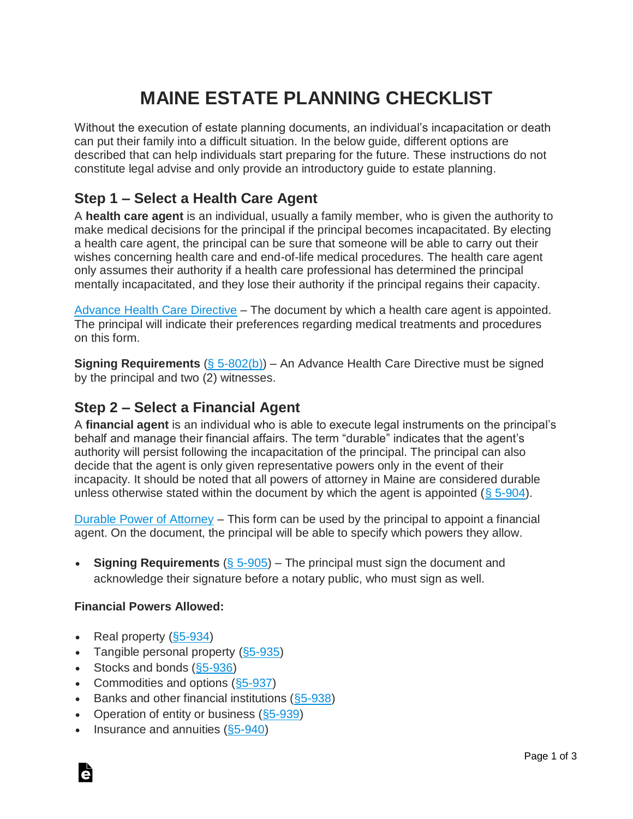## **MAINE ESTATE PLANNING CHECKLIST**

Without the execution of estate planning documents, an individual's incapacitation or death can put their family into a difficult situation. In the below guide, different options are described that can help individuals start preparing for the future. These instructions do not constitute legal advise and only provide an introductory guide to estate planning.

### **Step 1 – Select a Health Care Agent**

A **health care agent** is an individual, usually a family member, who is given the authority to make medical decisions for the principal if the principal becomes incapacitated. By electing a health care agent, the principal can be sure that someone will be able to carry out their wishes concerning health care and end-of-life medical procedures. The health care agent only assumes their authority if a health care professional has determined the principal mentally incapacitated, and they lose their authority if the principal regains their capacity.

[Advance Health Care Directive](https://eforms.com/power-of-attorney/me/maine-advance-health-care-directive/) – The document by which a health care agent is appointed. The principal will indicate their preferences regarding medical treatments and procedures on this form.

**Signing Requirements** [\(§ 5-802\(b\)\)](http://legislature.maine.gov/statutes/18-A/title18-Asec5-802-1.html) – An Advance Health Care Directive must be signed by the principal and two (2) witnesses.

#### **Step 2 – Select a Financial Agent**

A **financial agent** is an individual who is able to execute legal instruments on the principal's behalf and manage their financial affairs. The term "durable" indicates that the agent's authority will persist following the incapacitation of the principal. The principal can also decide that the agent is only given representative powers only in the event of their incapacity. It should be noted that all powers of attorney in Maine are considered durable unless otherwise stated within the document by which the agent is appointed  $(\S 5{\text -}904)$ .

[Durable Power of Attorney](https://eforms.com/power-of-attorney/me/maine-durable-power-of-attorney/) – This form can be used by the principal to appoint a financial agent. On the document, the principal will be able to specify which powers they allow.

• **Signing Requirements** [\(§ 5-905\)](https://law.justia.com/codes/maine/2017/title-18-a/article-5/part-9/subpart-2-1/section-5-905/) – The principal must sign the document and acknowledge their signature before a notary public, who must sign as well.

#### **Financial Powers Allowed:**

- Real property  $( $\S 5 934$ )$
- Tangible personal property  $(S5-935)$
- Stocks and bonds  $( $\S5 936$ )$
- Commodities and options (\$5-937)
- Banks and other financial institutions  $( $\S 5$ -938)</del>$
- Operation of entity or business  $( $\S$ 5-939)$
- Insurance and annuities [\(§5-940\)](https://law.justia.com/codes/maine/2017/title-18-a/article-5/part-9/subpart-2-2/section-5-940/index.html)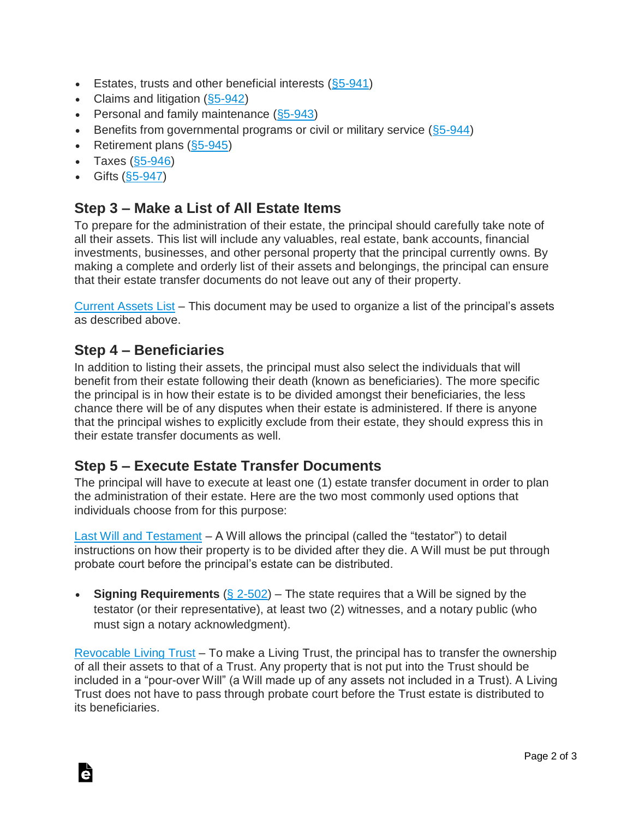- Estates, trusts and other beneficial interests  $(\S 5 941)$
- Claims and litigation  $(\S 5 942)$
- Personal and family maintenance [\(§5-943\)](https://law.justia.com/codes/maine/2017/title-18-a/article-5/part-9/subpart-2-2/section-5-943/index.html)
- Benefits from governmental programs or civil or military service  $(\S 5-944)$
- Retirement plans  $(\S 5$ -945)
- Taxes  $(\S 5 946)$
- Gifts  $( $\S5 947$ )$

#### **Step 3 – Make a List of All Estate Items**

To prepare for the administration of their estate, the principal should carefully take note of all their assets. This list will include any valuables, real estate, bank accounts, financial investments, businesses, and other personal property that the principal currently owns. By making a complete and orderly list of their assets and belongings, the principal can ensure that their estate transfer documents do not leave out any of their property.

[Current Assets List](https://eforms.com/estate-planning/current-assets-list/) – This document may be used to organize a list of the principal's assets as described above.

#### **Step 4 – Beneficiaries**

In addition to listing their assets, the principal must also select the individuals that will benefit from their estate following their death (known as beneficiaries). The more specific the principal is in how their estate is to be divided amongst their beneficiaries, the less chance there will be of any disputes when their estate is administered. If there is anyone that the principal wishes to explicitly exclude from their estate, they should express this in their estate transfer documents as well.

#### **Step 5 – Execute Estate Transfer Documents**

The principal will have to execute at least one (1) estate transfer document in order to plan the administration of their estate. Here are the two most commonly used options that individuals choose from for this purpose:

[Last Will and Testament](https://eforms.com/wills/maine-last-will-and-testament-template/) – A Will allows the principal (called the "testator") to detail instructions on how their property is to be divided after they die. A Will must be put through probate court before the principal's estate can be distributed.

• **Signing Requirements** [\(§ 2-502\)](https://malegislature.gov/Laws/GeneralLaws/PartII/TitleII/Chapter190B/ArticleII/Section2-502) – The state requires that a Will be signed by the testator (or their representative), at least two (2) witnesses, and a notary public (who must sign a notary acknowledgment).

[Revocable Living Trust](https://eforms.com/living-trust/me/maine-revocable-living-trust-form/) – To make a Living Trust, the principal has to transfer the ownership of all their assets to that of a Trust. Any property that is not put into the Trust should be included in a "pour-over Will" (a Will made up of any assets not included in a Trust). A Living Trust does not have to pass through probate court before the Trust estate is distributed to its beneficiaries.